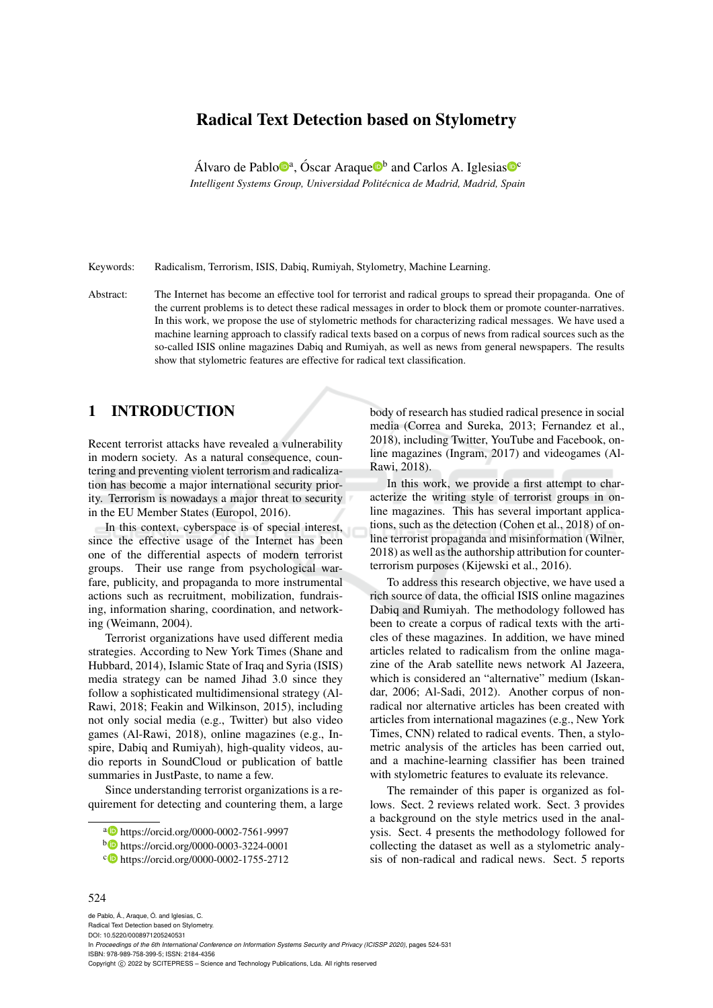# Radical Text Detection based on Stylometry

Álvaro de Pablo $\mathbb{D}^a$ , Óscar Araque $\mathbb{D}^b$  and Carlos A. Iglesias $\mathbb{D}^c$ *Intelligent Systems Group, Universidad Politecnica de Madrid, Madrid, Spain ´*

Keywords: Radicalism, Terrorism, ISIS, Dabiq, Rumiyah, Stylometry, Machine Learning.

Abstract: The Internet has become an effective tool for terrorist and radical groups to spread their propaganda. One of the current problems is to detect these radical messages in order to block them or promote counter-narratives. In this work, we propose the use of stylometric methods for characterizing radical messages. We have used a machine learning approach to classify radical texts based on a corpus of news from radical sources such as the so-called ISIS online magazines Dabiq and Rumiyah, as well as news from general newspapers. The results show that stylometric features are effective for radical text classification.

# 1 INTRODUCTION

Recent terrorist attacks have revealed a vulnerability in modern society. As a natural consequence, countering and preventing violent terrorism and radicalization has become a major international security priority. Terrorism is nowadays a major threat to security in the EU Member States (Europol, 2016).

In this context, cyberspace is of special interest, since the effective usage of the Internet has been one of the differential aspects of modern terrorist groups. Their use range from psychological warfare, publicity, and propaganda to more instrumental actions such as recruitment, mobilization, fundraising, information sharing, coordination, and networking (Weimann, 2004).

Terrorist organizations have used different media strategies. According to New York Times (Shane and Hubbard, 2014), Islamic State of Iraq and Syria (ISIS) media strategy can be named Jihad 3.0 since they follow a sophisticated multidimensional strategy (Al-Rawi, 2018; Feakin and Wilkinson, 2015), including not only social media (e.g., Twitter) but also video games (Al-Rawi, 2018), online magazines (e.g., Inspire, Dabiq and Rumiyah), high-quality videos, audio reports in SoundCloud or publication of battle summaries in JustPaste, to name a few.

Since understanding terrorist organizations is a requirement for detecting and countering them, a large body of research has studied radical presence in social media (Correa and Sureka, 2013; Fernandez et al., 2018), including Twitter, YouTube and Facebook, online magazines (Ingram, 2017) and videogames (Al-Rawi, 2018).

In this work, we provide a first attempt to characterize the writing style of terrorist groups in online magazines. This has several important applications, such as the detection (Cohen et al., 2018) of online terrorist propaganda and misinformation (Wilner, 2018) as well as the authorship attribution for counterterrorism purposes (Kijewski et al., 2016).

To address this research objective, we have used a rich source of data, the official ISIS online magazines Dabiq and Rumiyah. The methodology followed has been to create a corpus of radical texts with the articles of these magazines. In addition, we have mined articles related to radicalism from the online magazine of the Arab satellite news network Al Jazeera, which is considered an "alternative" medium (Iskandar, 2006; Al-Sadi, 2012). Another corpus of nonradical nor alternative articles has been created with articles from international magazines (e.g., New York Times, CNN) related to radical events. Then, a stylometric analysis of the articles has been carried out, and a machine-learning classifier has been trained with stylometric features to evaluate its relevance.

The remainder of this paper is organized as follows. Sect. 2 reviews related work. Sect. 3 provides a background on the style metrics used in the analysis. Sect. 4 presents the methodology followed for collecting the dataset as well as a stylometric analysis of non-radical and radical news. Sect. 5 reports

#### 524

de Pablo, Á., Araque, Ó. and Iglesias, C. Radical Text Detection based on Stylometry. DOI: 10.5220/0008971205240531 In *Proceedings of the 6th International Conference on Information Systems Security and Privacy (ICISSP 2020)*, pages 524-531 ISBN: 978-989-758-399-5; ISSN: 2184-4356 Copyright © 2022 by SCITEPRESS - Science and Technology Publications, Lda. All rights reserved

<sup>a</sup> https://orcid.org/0000-0002-7561-9997

<sup>b</sup> https://orcid.org/0000-0003-3224-0001

c https://orcid.org/0000-0002-1755-2712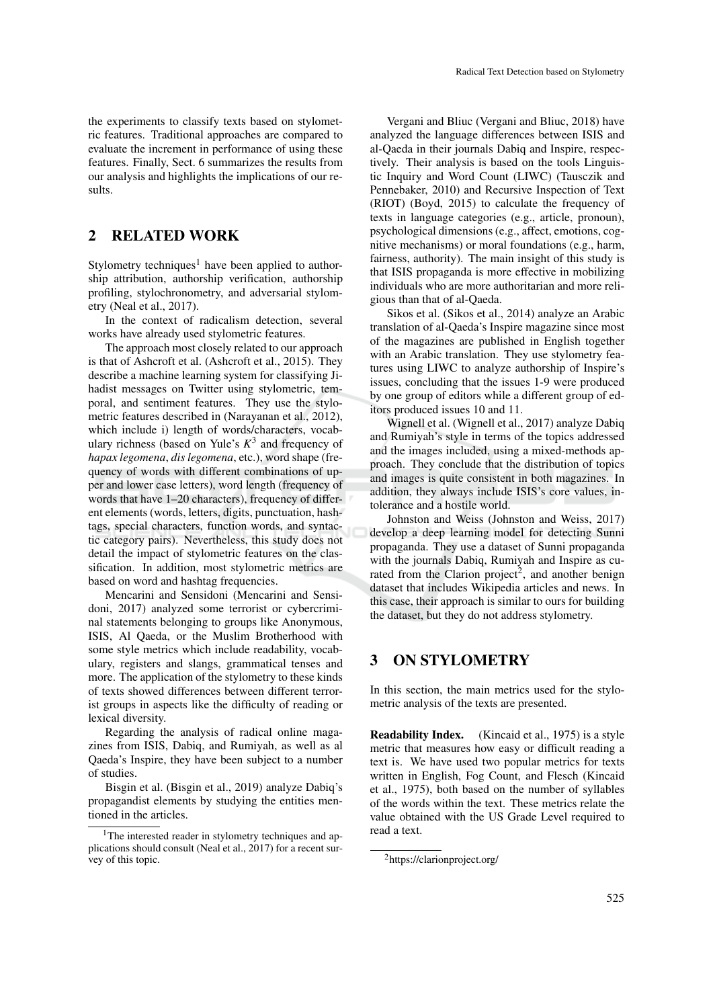## 2 RELATED WORK

Stylometry techniques<sup>1</sup> have been applied to authorship attribution, authorship verification, authorship profiling, stylochronometry, and adversarial stylometry (Neal et al., 2017).

In the context of radicalism detection, several works have already used stylometric features.

The approach most closely related to our approach is that of Ashcroft et al. (Ashcroft et al., 2015). They describe a machine learning system for classifying Jihadist messages on Twitter using stylometric, temporal, and sentiment features. They use the stylometric features described in (Narayanan et al., 2012), which include i) length of words/characters, vocabulary richness (based on Yule's *K* 3 and frequency of *hapax legomena*, *dis legomena*, etc.), word shape (frequency of words with different combinations of upper and lower case letters), word length (frequency of words that have 1–20 characters), frequency of different elements (words, letters, digits, punctuation, hashtags, special characters, function words, and syntactic category pairs). Nevertheless, this study does not detail the impact of stylometric features on the classification. In addition, most stylometric metrics are based on word and hashtag frequencies.

Mencarini and Sensidoni (Mencarini and Sensidoni, 2017) analyzed some terrorist or cybercriminal statements belonging to groups like Anonymous, ISIS, Al Qaeda, or the Muslim Brotherhood with some style metrics which include readability, vocabulary, registers and slangs, grammatical tenses and more. The application of the stylometry to these kinds of texts showed differences between different terrorist groups in aspects like the difficulty of reading or lexical diversity.

Regarding the analysis of radical online magazines from ISIS, Dabiq, and Rumiyah, as well as al Qaeda's Inspire, they have been subject to a number of studies.

Bisgin et al. (Bisgin et al., 2019) analyze Dabiq's propagandist elements by studying the entities mentioned in the articles.

Vergani and Bliuc (Vergani and Bliuc, 2018) have analyzed the language differences between ISIS and al-Qaeda in their journals Dabiq and Inspire, respectively. Their analysis is based on the tools Linguistic Inquiry and Word Count (LIWC) (Tausczik and Pennebaker, 2010) and Recursive Inspection of Text (RIOT) (Boyd, 2015) to calculate the frequency of texts in language categories (e.g., article, pronoun), psychological dimensions (e.g., affect, emotions, cognitive mechanisms) or moral foundations (e.g., harm, fairness, authority). The main insight of this study is that ISIS propaganda is more effective in mobilizing individuals who are more authoritarian and more religious than that of al-Qaeda.

Sikos et al. (Sikos et al., 2014) analyze an Arabic translation of al-Qaeda's Inspire magazine since most of the magazines are published in English together with an Arabic translation. They use stylometry features using LIWC to analyze authorship of Inspire's issues, concluding that the issues 1-9 were produced by one group of editors while a different group of editors produced issues 10 and 11.

Wignell et al. (Wignell et al., 2017) analyze Dabiq and Rumiyah's style in terms of the topics addressed and the images included, using a mixed-methods approach. They conclude that the distribution of topics and images is quite consistent in both magazines. In addition, they always include ISIS's core values, intolerance and a hostile world.

Johnston and Weiss (Johnston and Weiss, 2017) develop a deep learning model for detecting Sunni propaganda. They use a dataset of Sunni propaganda with the journals Dabiq, Rumiyah and Inspire as curated from the Clarion project<sup>2</sup>, and another benign dataset that includes Wikipedia articles and news. In this case, their approach is similar to ours for building the dataset, but they do not address stylometry.

# 3 ON STYLOMETRY

In this section, the main metrics used for the stylometric analysis of the texts are presented.

Readability Index. (Kincaid et al., 1975) is a style metric that measures how easy or difficult reading a text is. We have used two popular metrics for texts written in English, Fog Count, and Flesch (Kincaid et al., 1975), both based on the number of syllables of the words within the text. These metrics relate the value obtained with the US Grade Level required to read a text.

<sup>&</sup>lt;sup>1</sup>The interested reader in stylometry techniques and applications should consult (Neal et al., 2017) for a recent survey of this topic.

<sup>2</sup>https://clarionproject.org/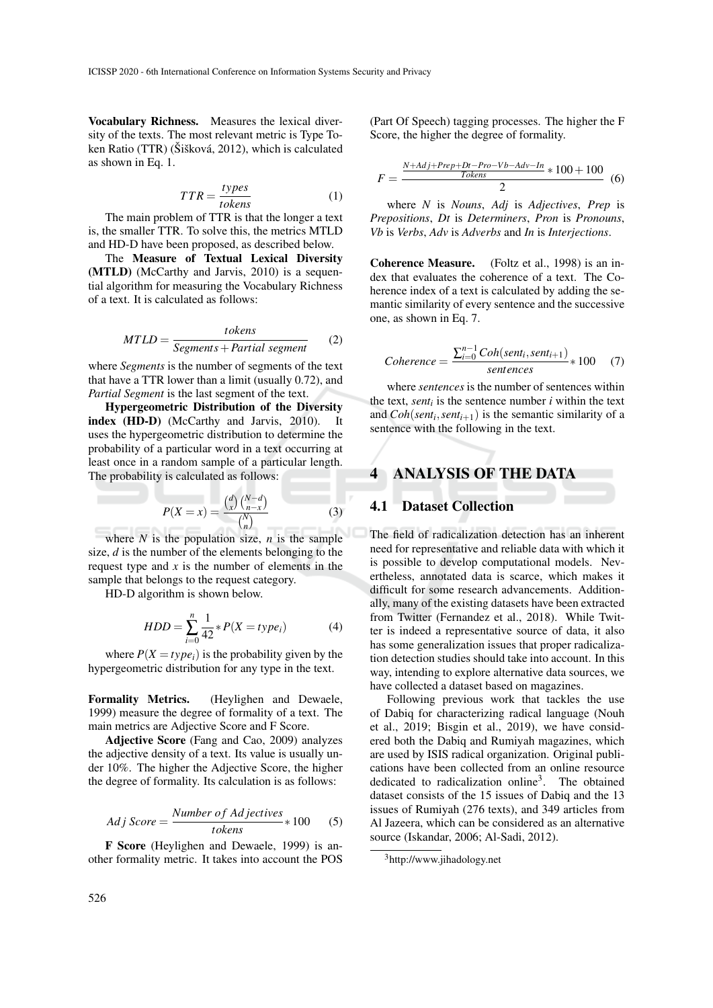Vocabulary Richness. Measures the lexical diversity of the texts. The most relevant metric is Type Token Ratio (TTR) (Šišková, 2012), which is calculated as shown in Eq. 1.

$$
TTR = \frac{types}{tokens}
$$
 (1)

The main problem of TTR is that the longer a text is, the smaller TTR. To solve this, the metrics MTLD and HD-D have been proposed, as described below.

The Measure of Textual Lexical Diversity (MTLD) (McCarthy and Jarvis, 2010) is a sequential algorithm for measuring the Vocabulary Richness of a text. It is calculated as follows:

$$
MTLD = \frac{tokens}{Segments + Partial\ segment}
$$
 (2)

where *Segments* is the number of segments of the text that have a TTR lower than a limit (usually 0.72), and *Partial Segment* is the last segment of the text.

Hypergeometric Distribution of the Diversity index (HD-D) (McCarthy and Jarvis, 2010). It uses the hypergeometric distribution to determine the probability of a particular word in a text occurring at least once in a random sample of a particular length. The probability is calculated as follows:

$$
P(X = x) = \frac{\binom{d}{x}\binom{N-d}{n-x}}{\binom{N}{n}}
$$
(3)

where  $N$  is the population size,  $n$  is the sample size, *d* is the number of the elements belonging to the request type and *x* is the number of elements in the sample that belongs to the request category.

HD-D algorithm is shown below.

$$
HDD = \sum_{i=0}^{n} \frac{1}{42} * P(X = type_i)
$$
 (4)

where  $P(X = type_i)$  is the probability given by the hypergeometric distribution for any type in the text.

Formality Metrics. (Heylighen and Dewaele, 1999) measure the degree of formality of a text. The main metrics are Adjective Score and F Score.

Adjective Score (Fang and Cao, 2009) analyzes the adjective density of a text. Its value is usually under 10%. The higher the Adjective Score, the higher the degree of formality. Its calculation is as follows:

$$
Adj Score = \frac{Number\ of\ Adjectives}{tokens} * 100
$$
 (5)

F Score (Heylighen and Dewaele, 1999) is another formality metric. It takes into account the POS (Part Of Speech) tagging processes. The higher the F Score, the higher the degree of formality.

$$
F = \frac{\frac{N + Adj + Prep + Dt - Pro - Vb - Adv - In}{Tokes}}{2} \tag{6}
$$

where *N* is *Nouns*, *Adj* is *Adjectives*, *Prep* is *Prepositions*, *Dt* is *Determiners*, *Pron* is *Pronouns*, *Vb* is *Verbs*, *Adv* is *Adverbs* and *In* is *Interjections*.

Coherence Measure. (Foltz et al., 1998) is an index that evaluates the coherence of a text. The Coherence index of a text is calculated by adding the semantic similarity of every sentence and the successive one, as shown in Eq. 7.

$$
Coherence = \frac{\sum_{i=0}^{n-1} Coh(senti, sent_{i+1})}{sentences} * 100 \quad (7)
$$

where *sentences* is the number of sentences within the text, *sent<sub>i</sub>* is the sentence number  $i$  within the text and  $Coh(sent<sub>i</sub>, sent<sub>i+1</sub>)$  is the semantic similarity of a sentence with the following in the text.

# 4 ANALYSIS OF THE DATA

## 4.1 Dataset Collection

The field of radicalization detection has an inherent need for representative and reliable data with which it is possible to develop computational models. Nevertheless, annotated data is scarce, which makes it difficult for some research advancements. Additionally, many of the existing datasets have been extracted from Twitter (Fernandez et al., 2018). While Twitter is indeed a representative source of data, it also has some generalization issues that proper radicalization detection studies should take into account. In this way, intending to explore alternative data sources, we have collected a dataset based on magazines.

Following previous work that tackles the use of Dabiq for characterizing radical language (Nouh et al., 2019; Bisgin et al., 2019), we have considered both the Dabiq and Rumiyah magazines, which are used by ISIS radical organization. Original publications have been collected from an online resource dedicated to radicalization online<sup>3</sup>. The obtained dataset consists of the 15 issues of Dabiq and the 13 issues of Rumiyah (276 texts), and 349 articles from Al Jazeera, which can be considered as an alternative source (Iskandar, 2006; Al-Sadi, 2012).

<sup>3</sup>http://www.jihadology.net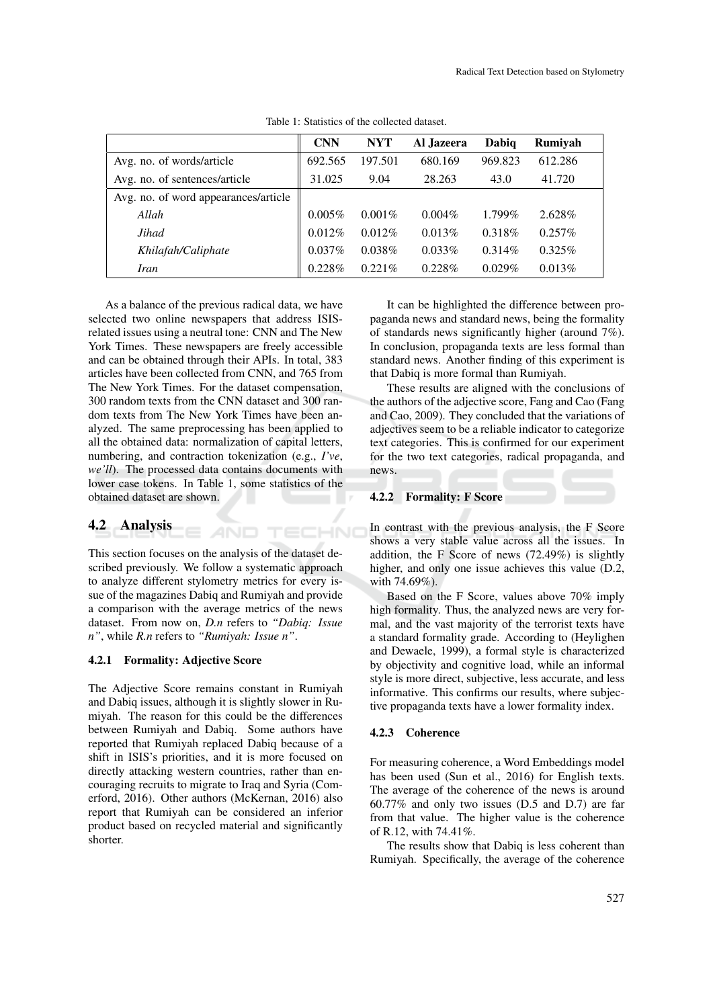|                                      | <b>CNN</b> | <b>NYT</b> | Al Jazeera | Dabiq     | Rumiyah   |
|--------------------------------------|------------|------------|------------|-----------|-----------|
| Avg. no. of words/article            | 692.565    | 197.501    | 680.169    | 969.823   | 612.286   |
| Avg. no. of sentences/article        | 31.025     | 9.04       | 28.263     | 43.0      | 41.720    |
| Avg. no. of word appearances/article |            |            |            |           |           |
| Allah                                | $0.005\%$  | $0.001\%$  | $0.004\%$  | 1.799%    | 2.628\%   |
| Jihad                                | 0.012%     | 0.012%     | 0.013%     | 0.318\%   | $0.257\%$ |
| Khilafah/Caliphate                   | 0.037%     | 0.038%     | $0.033\%$  | $0.314\%$ | $0.325\%$ |
| <i>Iran</i>                          | 0.228%     | 0.221%     | $0.228\%$  | 0.029%    | 0.013%    |

TECHNO

Table 1: Statistics of the collected dataset.

As a balance of the previous radical data, we have selected two online newspapers that address ISISrelated issues using a neutral tone: CNN and The New York Times. These newspapers are freely accessible and can be obtained through their APIs. In total, 383 articles have been collected from CNN, and 765 from The New York Times. For the dataset compensation, 300 random texts from the CNN dataset and 300 random texts from The New York Times have been analyzed. The same preprocessing has been applied to all the obtained data: normalization of capital letters, numbering, and contraction tokenization (e.g., *I've*, *we'll*). The processed data contains documents with lower case tokens. In Table 1, some statistics of the obtained dataset are shown.

## 4.2 Analysis

This section focuses on the analysis of the dataset described previously. We follow a systematic approach to analyze different stylometry metrics for every issue of the magazines Dabiq and Rumiyah and provide a comparison with the average metrics of the news dataset. From now on, *D.n* refers to *"Dabiq: Issue n"*, while *R.n* refers to *"Rumiyah: Issue n"*.

**AND** 

#### 4.2.1 Formality: Adjective Score

The Adjective Score remains constant in Rumiyah and Dabiq issues, although it is slightly slower in Rumiyah. The reason for this could be the differences between Rumiyah and Dabiq. Some authors have reported that Rumiyah replaced Dabiq because of a shift in ISIS's priorities, and it is more focused on directly attacking western countries, rather than encouraging recruits to migrate to Iraq and Syria (Comerford, 2016). Other authors (McKernan, 2016) also report that Rumiyah can be considered an inferior product based on recycled material and significantly shorter.

It can be highlighted the difference between propaganda news and standard news, being the formality of standards news significantly higher (around 7%). In conclusion, propaganda texts are less formal than standard news. Another finding of this experiment is that Dabiq is more formal than Rumiyah.

These results are aligned with the conclusions of the authors of the adjective score, Fang and Cao (Fang and Cao, 2009). They concluded that the variations of adjectives seem to be a reliable indicator to categorize text categories. This is confirmed for our experiment for the two text categories, radical propaganda, and news.

#### 4.2.2 Formality: F Score

In contrast with the previous analysis, the F Score shows a very stable value across all the issues. In addition, the F Score of news (72.49%) is slightly higher, and only one issue achieves this value (D.2, with 74.69%).

Based on the F Score, values above 70% imply high formality. Thus, the analyzed news are very formal, and the vast majority of the terrorist texts have a standard formality grade. According to (Heylighen and Dewaele, 1999), a formal style is characterized by objectivity and cognitive load, while an informal style is more direct, subjective, less accurate, and less informative. This confirms our results, where subjective propaganda texts have a lower formality index.

#### 4.2.3 Coherence

For measuring coherence, a Word Embeddings model has been used (Sun et al., 2016) for English texts. The average of the coherence of the news is around 60.77% and only two issues (D.5 and D.7) are far from that value. The higher value is the coherence of R.12, with 74.41%.

The results show that Dabiq is less coherent than Rumiyah. Specifically, the average of the coherence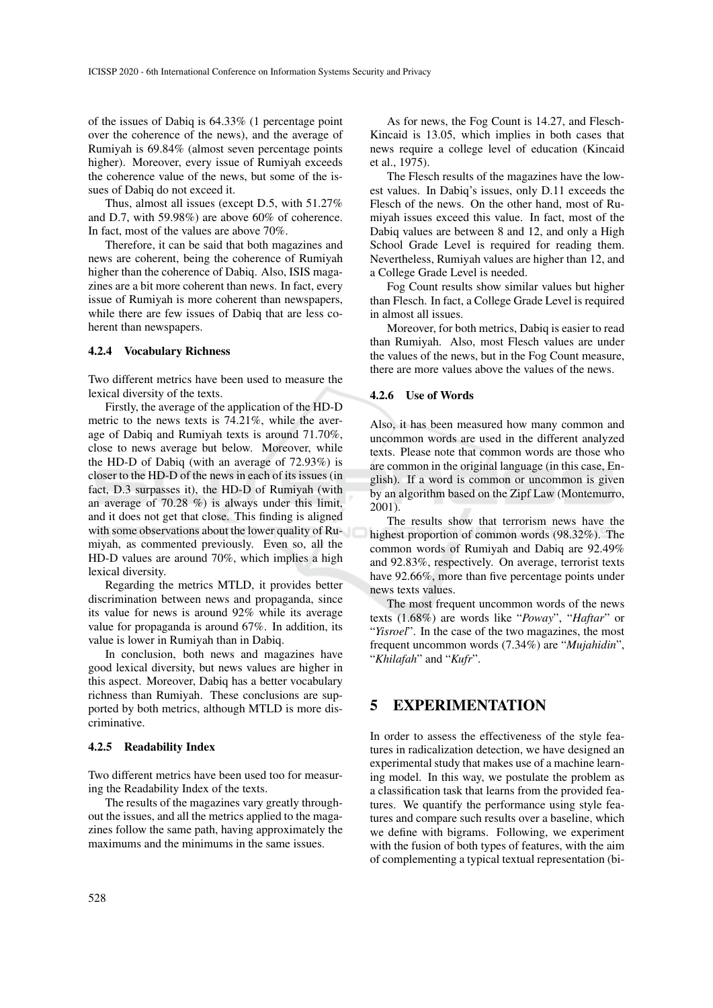of the issues of Dabiq is 64.33% (1 percentage point over the coherence of the news), and the average of Rumiyah is 69.84% (almost seven percentage points higher). Moreover, every issue of Rumiyah exceeds the coherence value of the news, but some of the issues of Dabiq do not exceed it.

Thus, almost all issues (except D.5, with 51.27% and D.7, with 59.98%) are above 60% of coherence. In fact, most of the values are above 70%.

Therefore, it can be said that both magazines and news are coherent, being the coherence of Rumiyah higher than the coherence of Dabiq. Also, ISIS magazines are a bit more coherent than news. In fact, every issue of Rumiyah is more coherent than newspapers, while there are few issues of Dabiq that are less coherent than newspapers.

#### 4.2.4 Vocabulary Richness

Two different metrics have been used to measure the lexical diversity of the texts.

Firstly, the average of the application of the HD-D metric to the news texts is 74.21%, while the average of Dabiq and Rumiyah texts is around 71.70%, close to news average but below. Moreover, while the HD-D of Dabiq (with an average of 72.93%) is closer to the HD-D of the news in each of its issues (in fact, D.3 surpasses it), the HD-D of Rumiyah (with an average of 70.28 %) is always under this limit, and it does not get that close. This finding is aligned with some observations about the lower quality of Rumiyah, as commented previously. Even so, all the HD-D values are around 70%, which implies a high lexical diversity.

Regarding the metrics MTLD, it provides better discrimination between news and propaganda, since its value for news is around 92% while its average value for propaganda is around 67%. In addition, its value is lower in Rumiyah than in Dabiq.

In conclusion, both news and magazines have good lexical diversity, but news values are higher in this aspect. Moreover, Dabiq has a better vocabulary richness than Rumiyah. These conclusions are supported by both metrics, although MTLD is more discriminative.

#### 4.2.5 Readability Index

Two different metrics have been used too for measuring the Readability Index of the texts.

The results of the magazines vary greatly throughout the issues, and all the metrics applied to the magazines follow the same path, having approximately the maximums and the minimums in the same issues.

As for news, the Fog Count is 14.27, and Flesch-Kincaid is 13.05, which implies in both cases that news require a college level of education (Kincaid et al., 1975).

The Flesch results of the magazines have the lowest values. In Dabiq's issues, only D.11 exceeds the Flesch of the news. On the other hand, most of Rumiyah issues exceed this value. In fact, most of the Dabiq values are between 8 and 12, and only a High School Grade Level is required for reading them. Nevertheless, Rumiyah values are higher than 12, and a College Grade Level is needed.

Fog Count results show similar values but higher than Flesch. In fact, a College Grade Level is required in almost all issues.

Moreover, for both metrics, Dabiq is easier to read than Rumiyah. Also, most Flesch values are under the values of the news, but in the Fog Count measure, there are more values above the values of the news.

#### 4.2.6 Use of Words

Also, it has been measured how many common and uncommon words are used in the different analyzed texts. Please note that common words are those who are common in the original language (in this case, English). If a word is common or uncommon is given by an algorithm based on the Zipf Law (Montemurro, 2001).

The results show that terrorism news have the highest proportion of common words (98.32%). The common words of Rumiyah and Dabiq are 92.49% and 92.83%, respectively. On average, terrorist texts have 92.66%, more than five percentage points under news texts values.

The most frequent uncommon words of the news texts (1.68%) are words like "*Poway*", "*Haftar*" or "*Yisroel*". In the case of the two magazines, the most frequent uncommon words (7.34%) are "*Mujahidin*", "*Khilafah*" and "*Kufr*".

## 5 EXPERIMENTATION

In order to assess the effectiveness of the style features in radicalization detection, we have designed an experimental study that makes use of a machine learning model. In this way, we postulate the problem as a classification task that learns from the provided features. We quantify the performance using style features and compare such results over a baseline, which we define with bigrams. Following, we experiment with the fusion of both types of features, with the aim of complementing a typical textual representation (bi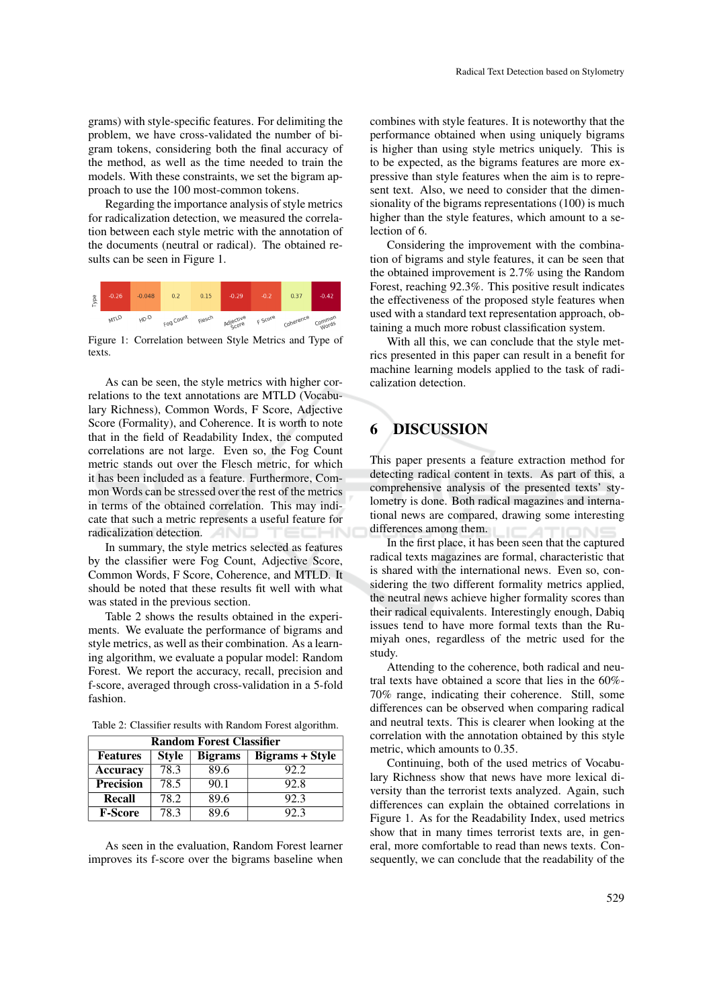grams) with style-specific features. For delimiting the problem, we have cross-validated the number of bigram tokens, considering both the final accuracy of the method, as well as the time needed to train the models. With these constraints, we set the bigram approach to use the 100 most-common tokens.

Regarding the importance analysis of style metrics for radicalization detection, we measured the correlation between each style metric with the annotation of the documents (neutral or radical). The obtained results can be seen in Figure 1.



Figure 1: Correlation between Style Metrics and Type of texts.

As can be seen, the style metrics with higher correlations to the text annotations are MTLD (Vocabulary Richness), Common Words, F Score, Adjective Score (Formality), and Coherence. It is worth to note that in the field of Readability Index, the computed correlations are not large. Even so, the Fog Count metric stands out over the Flesch metric, for which it has been included as a feature. Furthermore, Common Words can be stressed over the rest of the metrics in terms of the obtained correlation. This may indicate that such a metric represents a useful feature for radicalization detection.

In summary, the style metrics selected as features by the classifier were Fog Count, Adjective Score, Common Words, F Score, Coherence, and MTLD. It should be noted that these results fit well with what was stated in the previous section.

Table 2 shows the results obtained in the experiments. We evaluate the performance of bigrams and style metrics, as well as their combination. As a learning algorithm, we evaluate a popular model: Random Forest. We report the accuracy, recall, precision and f-score, averaged through cross-validation in a 5-fold fashion.

| <b>Random Forest Classifier</b> |              |                |                        |  |  |  |
|---------------------------------|--------------|----------------|------------------------|--|--|--|
| <b>Features</b>                 | <b>Style</b> | <b>Bigrams</b> | <b>Bigrams + Style</b> |  |  |  |
| <b>Accuracy</b>                 | 78.3         | 89.6           | 92.2.                  |  |  |  |
| <b>Precision</b>                | 78.5         | 90.1           | 92.8                   |  |  |  |
| Recall                          | 78.2         | 89.6           | 92.3                   |  |  |  |
| <b>F-Score</b>                  | 78.3         | 89 6           | 92.3                   |  |  |  |

Table 2: Classifier results with Random Forest algorithm.

As seen in the evaluation, Random Forest learner improves its f-score over the bigrams baseline when combines with style features. It is noteworthy that the performance obtained when using uniquely bigrams is higher than using style metrics uniquely. This is to be expected, as the bigrams features are more expressive than style features when the aim is to represent text. Also, we need to consider that the dimensionality of the bigrams representations (100) is much higher than the style features, which amount to a selection of 6.

Considering the improvement with the combination of bigrams and style features, it can be seen that the obtained improvement is 2.7% using the Random Forest, reaching 92.3%. This positive result indicates the effectiveness of the proposed style features when used with a standard text representation approach, obtaining a much more robust classification system.

With all this, we can conclude that the style metrics presented in this paper can result in a benefit for machine learning models applied to the task of radicalization detection.

# 6 DISCUSSION

This paper presents a feature extraction method for detecting radical content in texts. As part of this, a comprehensive analysis of the presented texts' stylometry is done. Both radical magazines and international news are compared, drawing some interesting differences among them.

In the first place, it has been seen that the captured radical texts magazines are formal, characteristic that is shared with the international news. Even so, considering the two different formality metrics applied, the neutral news achieve higher formality scores than their radical equivalents. Interestingly enough, Dabiq issues tend to have more formal texts than the Rumiyah ones, regardless of the metric used for the study.

Attending to the coherence, both radical and neutral texts have obtained a score that lies in the 60%- 70% range, indicating their coherence. Still, some differences can be observed when comparing radical and neutral texts. This is clearer when looking at the correlation with the annotation obtained by this style metric, which amounts to 0.35.

Continuing, both of the used metrics of Vocabulary Richness show that news have more lexical diversity than the terrorist texts analyzed. Again, such differences can explain the obtained correlations in Figure 1. As for the Readability Index, used metrics show that in many times terrorist texts are, in general, more comfortable to read than news texts. Consequently, we can conclude that the readability of the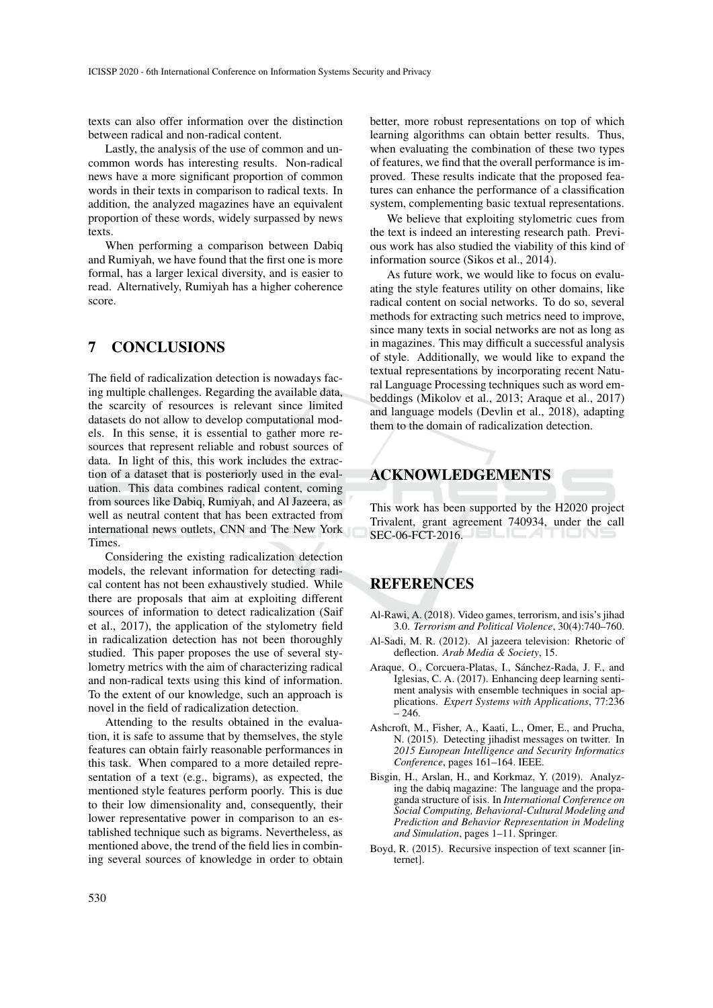texts can also offer information over the distinction between radical and non-radical content.

Lastly, the analysis of the use of common and uncommon words has interesting results. Non-radical news have a more significant proportion of common words in their texts in comparison to radical texts. In addition, the analyzed magazines have an equivalent proportion of these words, widely surpassed by news texts.

When performing a comparison between Dabiq and Rumiyah, we have found that the first one is more formal, has a larger lexical diversity, and is easier to read. Alternatively, Rumiyah has a higher coherence score.

# 7 CONCLUSIONS

The field of radicalization detection is nowadays facing multiple challenges. Regarding the available data, the scarcity of resources is relevant since limited datasets do not allow to develop computational models. In this sense, it is essential to gather more resources that represent reliable and robust sources of data. In light of this, this work includes the extraction of a dataset that is posteriorly used in the evaluation. This data combines radical content, coming from sources like Dabiq, Rumiyah, and Al Jazeera, as well as neutral content that has been extracted from international news outlets, CNN and The New York Times.

Considering the existing radicalization detection models, the relevant information for detecting radical content has not been exhaustively studied. While there are proposals that aim at exploiting different sources of information to detect radicalization (Saif et al., 2017), the application of the stylometry field in radicalization detection has not been thoroughly studied. This paper proposes the use of several stylometry metrics with the aim of characterizing radical and non-radical texts using this kind of information. To the extent of our knowledge, such an approach is novel in the field of radicalization detection.

Attending to the results obtained in the evaluation, it is safe to assume that by themselves, the style features can obtain fairly reasonable performances in this task. When compared to a more detailed representation of a text (e.g., bigrams), as expected, the mentioned style features perform poorly. This is due to their low dimensionality and, consequently, their lower representative power in comparison to an established technique such as bigrams. Nevertheless, as mentioned above, the trend of the field lies in combining several sources of knowledge in order to obtain better, more robust representations on top of which learning algorithms can obtain better results. Thus, when evaluating the combination of these two types of features, we find that the overall performance is improved. These results indicate that the proposed features can enhance the performance of a classification system, complementing basic textual representations.

We believe that exploiting stylometric cues from the text is indeed an interesting research path. Previous work has also studied the viability of this kind of information source (Sikos et al., 2014).

As future work, we would like to focus on evaluating the style features utility on other domains, like radical content on social networks. To do so, several methods for extracting such metrics need to improve, since many texts in social networks are not as long as in magazines. This may difficult a successful analysis of style. Additionally, we would like to expand the textual representations by incorporating recent Natural Language Processing techniques such as word embeddings (Mikolov et al., 2013; Araque et al., 2017) and language models (Devlin et al., 2018), adapting them to the domain of radicalization detection.

## ACKNOWLEDGEMENTS

This work has been supported by the H2020 project Trivalent, grant agreement 740934, under the call SEC-06-FCT-2016.

# **REFERENCES**

- Al-Rawi, A. (2018). Video games, terrorism, and isis's jihad 3.0. *Terrorism and Political Violence*, 30(4):740–760.
- Al-Sadi, M. R. (2012). Al jazeera television: Rhetoric of deflection. *Arab Media & Society*, 15.
- Araque, O., Corcuera-Platas, I., Sánchez-Rada, J. F., and Iglesias, C. A. (2017). Enhancing deep learning sentiment analysis with ensemble techniques in social applications. *Expert Systems with Applications*, 77:236 – 246.
- Ashcroft, M., Fisher, A., Kaati, L., Omer, E., and Prucha, N. (2015). Detecting jihadist messages on twitter. In *2015 European Intelligence and Security Informatics Conference*, pages 161–164. IEEE.
- Bisgin, H., Arslan, H., and Korkmaz, Y. (2019). Analyzing the dabiq magazine: The language and the propaganda structure of isis. In *International Conference on Social Computing, Behavioral-Cultural Modeling and Prediction and Behavior Representation in Modeling and Simulation*, pages 1–11. Springer.
- Boyd, R. (2015). Recursive inspection of text scanner [internet].